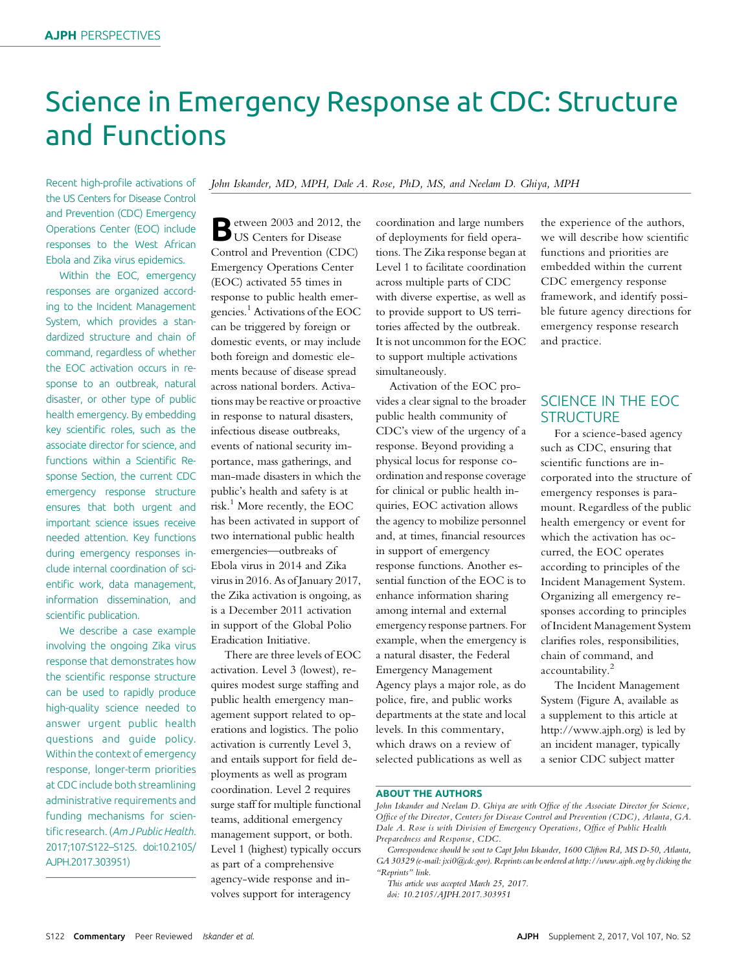# Science in Emergency Response at CDC: Structure and Functions

Recent high-profile activations of the US Centers for Disease Control and Prevention (CDC) Emergency Operations Center (EOC) include responses to the West African Ebola and Zika virus epidemics.

Within the EOC, emergency responses are organized according to the Incident Management System, which provides a standardized structure and chain of command, regardless of whether the EOC activation occurs in response to an outbreak, natural disaster, or other type of public health emergency. By embedding key scientific roles, such as the associate director for science, and functions within a Scientific Response Section, the current CDC emergency response structure ensures that both urgent and important science issues receive needed attention. Key functions during emergency responses include internal coordination of scientific work, data management, information dissemination, and scientific publication.

We describe a case example involving the ongoing Zika virus response that demonstrates how the scientific response structure can be used to rapidly produce high-quality science needed to answer urgent public health questions and guide policy. Within the context of emergency response, longer-term priorities at CDC include both streamlining administrative requirements and funding mechanisms for scientific research. (Am J Public Health. 2017;107:S122–S125. doi:10.2105/ AJPH.2017.303951)

John Iskander, MD, MPH, Dale A. Rose, PhD, MS, and Neelam D. Ghiya, MPH

Between 2003 and 2012, the US Centers for Disease Control and Prevention (CDC) Emergency Operations Center (EOC) activated 55 times in response to public health emergencies.<sup>1</sup> Activations of the EOC can be triggered by foreign or domestic events, or may include both foreign and domestic elements because of disease spread across national borders. Activations may be reactive or proactive in response to natural disasters, infectious disease outbreaks, events of national security importance, mass gatherings, and man-made disasters in which the public's health and safety is at risk.<sup>1</sup> More recently, the EOC has been activated in support of two international public health emergencies—outbreaks of Ebola virus in 2014 and Zika virus in 2016. As of January 2017, the Zika activation is ongoing, as is a December 2011 activation in support of the Global Polio Eradication Initiative.

There are three levels of EOC activation. Level 3 (lowest), requires modest surge staffing and public health emergency management support related to operations and logistics. The polio activation is currently Level 3, and entails support for field deployments as well as program coordination. Level 2 requires surge staff for multiple functional teams, additional emergency management support, or both. Level 1 (highest) typically occurs as part of a comprehensive agency-wide response and involves support for interagency

coordination and large numbers of deployments for field operations. The Zika response began at Level 1 to facilitate coordination across multiple parts of CDC with diverse expertise, as well as to provide support to US territories affected by the outbreak. It is not uncommon for the EOC to support multiple activations simultaneously.

Activation of the EOC provides a clear signal to the broader public health community of CDC's view of the urgency of a response. Beyond providing a physical locus for response coordination and response coverage for clinical or public health inquiries, EOC activation allows the agency to mobilize personnel and, at times, financial resources in support of emergency response functions. Another essential function of the EOC is to enhance information sharing among internal and external emergency response partners. For example, when the emergency is a natural disaster, the Federal Emergency Management Agency plays a major role, as do police, fire, and public works departments at the state and local levels. In this commentary, which draws on a review of selected publications as well as

the experience of the authors, we will describe how scientific functions and priorities are embedded within the current CDC emergency response framework, and identify possible future agency directions for emergency response research and practice.

# SCIENCE IN THE EOC **STRUCTURE**

For a science-based agency such as CDC, ensuring that scientific functions are incorporated into the structure of emergency responses is paramount. Regardless of the public health emergency or event for which the activation has occurred, the EOC operates according to principles of the Incident Management System. Organizing all emergency responses according to principles of Incident Management System clarifies roles, responsibilities, chain of command, and accountability.<sup>2</sup>

The Incident Management System (Figure A, available as a supplement to this article at [http://www.ajph.org\)](http://www.ajph.org) is led by an incident manager, typically a senior CDC subject matter

#### ABOUT THE AUTHORS

John Iskander and Neelam D. Ghiya are with Office of the Associate Director for Science, Office of the Director, Centers for Disease Control and Prevention (CDC), Atlanta, GA. Dale A. Rose is with Division of Emergency Operations, Office of Public Health Preparedness and Response, CDC.

Correspondence should be sent to Capt John Iskander, 1600 Clifton Rd, MS D-50, Atlanta, GA 30329 (e-mail: [jxi0@cdc.gov\)](mailto:jxi0@cdc.gov). Reprints can be ordered at<http://www.ajph.org> by clicking the "Reprints" link.

This article was accepted March 25, 2017. doi: 10.2105/AJPH.2017.303951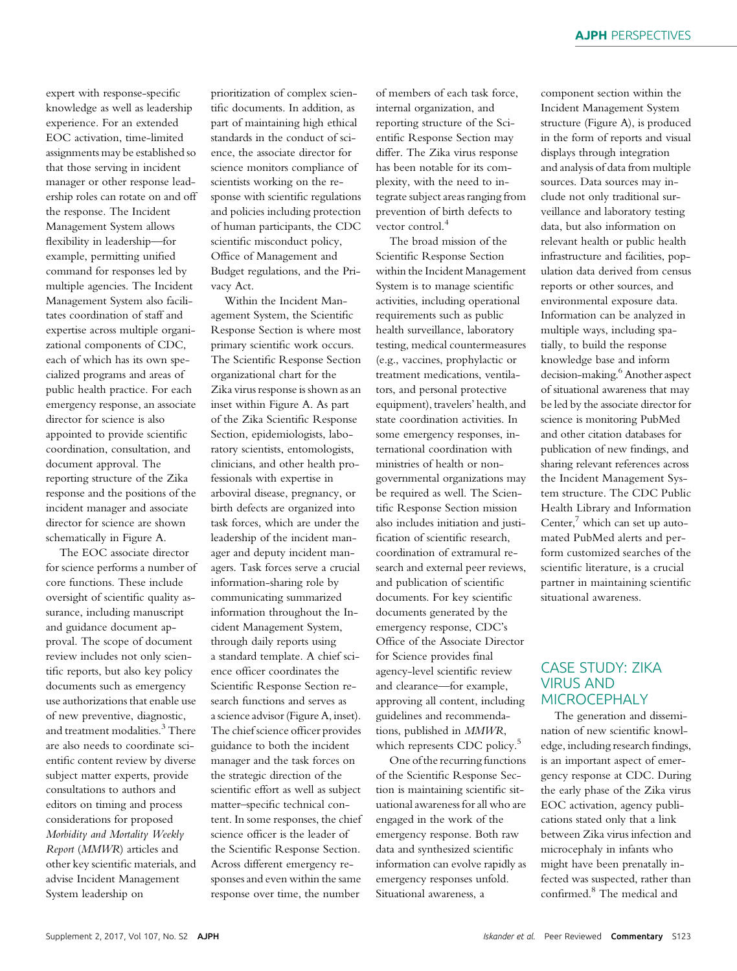expert with response-specific knowledge as well as leadership experience. For an extended EOC activation, time-limited assignments may be established so that those serving in incident manager or other response leadership roles can rotate on and off the response. The Incident Management System allows flexibility in leadership—for example, permitting unified command for responses led by multiple agencies. The Incident Management System also facilitates coordination of staff and expertise across multiple organizational components of CDC, each of which has its own specialized programs and areas of public health practice. For each emergency response, an associate director for science is also appointed to provide scientific coordination, consultation, and document approval. The reporting structure of the Zika response and the positions of the incident manager and associate director for science are shown schematically in Figure A.

The EOC associate director for science performs a number of core functions. These include oversight of scientific quality assurance, including manuscript and guidance document approval. The scope of document review includes not only scientific reports, but also key policy documents such as emergency use authorizations that enable use of new preventive, diagnostic, and treatment modalities.<sup>3</sup> There are also needs to coordinate scientific content review by diverse subject matter experts, provide consultations to authors and editors on timing and process considerations for proposed Morbidity and Mortality Weekly Report (MMWR) articles and other key scientific materials, and advise Incident Management System leadership on

prioritization of complex scientific documents. In addition, as part of maintaining high ethical standards in the conduct of science, the associate director for science monitors compliance of scientists working on the response with scientific regulations and policies including protection of human participants, the CDC scientific misconduct policy, Office of Management and Budget regulations, and the Privacy Act.

Within the Incident Management System, the Scientific Response Section is where most primary scientific work occurs. The Scientific Response Section organizational chart for the Zika virus response is shown as an inset within Figure A. As part of the Zika Scientific Response Section, epidemiologists, laboratory scientists, entomologists, clinicians, and other health professionals with expertise in arboviral disease, pregnancy, or birth defects are organized into task forces, which are under the leadership of the incident manager and deputy incident managers. Task forces serve a crucial information-sharing role by communicating summarized information throughout the Incident Management System, through daily reports using a standard template. A chief science officer coordinates the Scientific Response Section research functions and serves as a science advisor (Figure A, inset). The chief science officer provides guidance to both the incident manager and the task forces on the strategic direction of the scientific effort as well as subject matter–specific technical content. In some responses, the chief science officer is the leader of the Scientific Response Section. Across different emergency responses and even within the same response over time, the number

of members of each task force, internal organization, and reporting structure of the Scientific Response Section may differ. The Zika virus response has been notable for its complexity, with the need to integrate subject areas ranging from prevention of birth defects to vector control.<sup>4</sup>

The broad mission of the Scientific Response Section within the Incident Management System is to manage scientific activities, including operational requirements such as public health surveillance, laboratory testing, medical countermeasures (e.g., vaccines, prophylactic or treatment medications, ventilators, and personal protective equipment), travelers' health, and state coordination activities. In some emergency responses, international coordination with ministries of health or nongovernmental organizations may be required as well. The Scientific Response Section mission also includes initiation and justification of scientific research, coordination of extramural research and external peer reviews, and publication of scientific documents. For key scientific documents generated by the emergency response, CDC's Office of the Associate Director for Science provides final agency-level scientific review and clearance—for example, approving all content, including guidelines and recommendations, published in MMWR, which represents CDC policy.<sup>5</sup>

One of the recurring functions of the Scientific Response Section is maintaining scientific situational awareness for all who are engaged in the work of the emergency response. Both raw data and synthesized scientific information can evolve rapidly as emergency responses unfold. Situational awareness, a

component section within the Incident Management System structure (Figure A), is produced in the form of reports and visual displays through integration and analysis of data from multiple sources. Data sources may include not only traditional surveillance and laboratory testing data, but also information on relevant health or public health infrastructure and facilities, population data derived from census reports or other sources, and environmental exposure data. Information can be analyzed in multiple ways, including spatially, to build the response knowledge base and inform decision-making.<sup>6</sup> Another aspect of situational awareness that may be led by the associate director for science is monitoring PubMed and other citation databases for publication of new findings, and sharing relevant references across the Incident Management System structure. The CDC Public Health Library and Information Center, $7$  which can set up automated PubMed alerts and perform customized searches of the scientific literature, is a crucial partner in maintaining scientific situational awareness.

## CASE STUDY: ZIKA VIRUS AND MICROCEPHALY

The generation and dissemination of new scientific knowledge, including research findings, is an important aspect of emergency response at CDC. During the early phase of the Zika virus EOC activation, agency publications stated only that a link between Zika virus infection and microcephaly in infants who might have been prenatally infected was suspected, rather than confirmed.<sup>8</sup> The medical and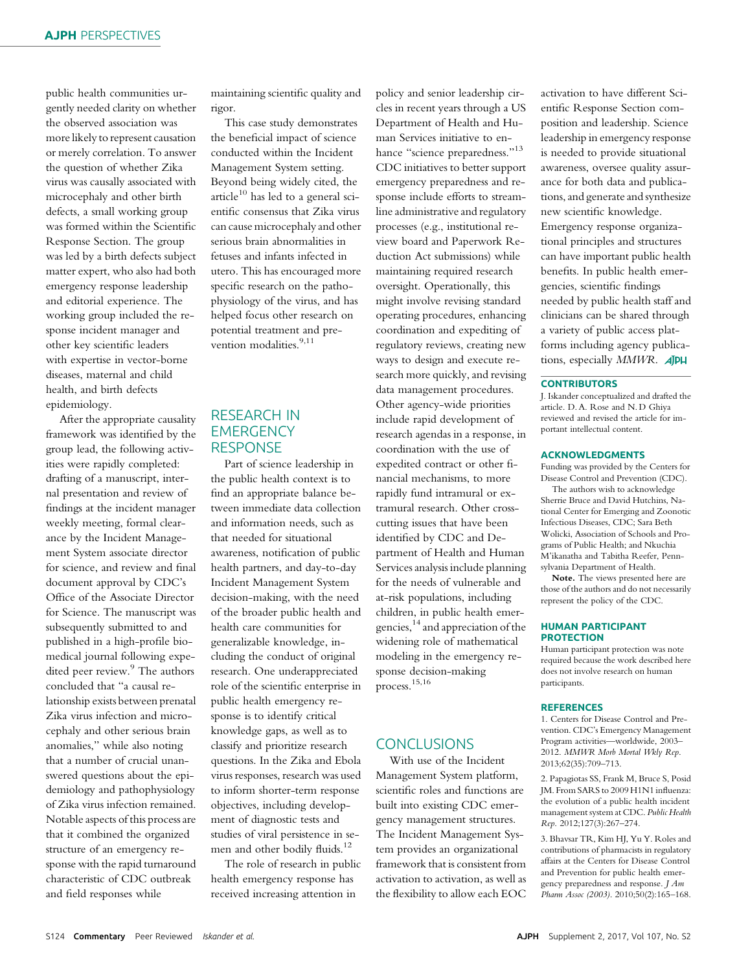public health communities urgently needed clarity on whether the observed association was more likely to represent causation or merely correlation. To answer the question of whether Zika virus was causally associated with microcephaly and other birth defects, a small working group was formed within the Scientific Response Section. The group was led by a birth defects subject matter expert, who also had both emergency response leadership and editorial experience. The working group included the response incident manager and other key scientific leaders with expertise in vector-borne diseases, maternal and child health, and birth defects epidemiology.

After the appropriate causality framework was identified by the group lead, the following activities were rapidly completed: drafting of a manuscript, internal presentation and review of findings at the incident manager weekly meeting, formal clearance by the Incident Management System associate director for science, and review and final document approval by CDC's Office of the Associate Director for Science. The manuscript was subsequently submitted to and published in a high-profile biomedical journal following expedited peer review.<sup>9</sup> The authors concluded that "a causal relationship exists between prenatal Zika virus infection and microcephaly and other serious brain anomalies," while also noting that a number of crucial unanswered questions about the epidemiology and pathophysiology of Zika virus infection remained. Notable aspects of this process are that it combined the organized structure of an emergency response with the rapid turnaround characteristic of CDC outbreak and field responses while

maintaining scientific quality and rigor.

This case study demonstrates the beneficial impact of science conducted within the Incident Management System setting. Beyond being widely cited, the article $10$  has led to a general scientific consensus that Zika virus can cause microcephaly and other serious brain abnormalities in fetuses and infants infected in utero. This has encouraged more specific research on the pathophysiology of the virus, and has helped focus other research on potential treatment and prevention modalities. $9,11$ 

## RESEARCH IN **EMERGENCY RESPONSE**

Part of science leadership in the public health context is to find an appropriate balance between immediate data collection and information needs, such as that needed for situational awareness, notification of public health partners, and day-to-day Incident Management System decision-making, with the need of the broader public health and health care communities for generalizable knowledge, including the conduct of original research. One underappreciated role of the scientific enterprise in public health emergency response is to identify critical knowledge gaps, as well as to classify and prioritize research questions. In the Zika and Ebola virus responses, research was used to inform shorter-term response objectives, including development of diagnostic tests and studies of viral persistence in semen and other bodily fluids.<sup>12</sup>

The role of research in public health emergency response has received increasing attention in

policy and senior leadership circles in recent years through a US Department of Health and Human Services initiative to enhance "science preparedness."<sup>13</sup> CDC initiatives to better support emergency preparedness and response include efforts to streamline administrative and regulatory processes (e.g., institutional review board and Paperwork Reduction Act submissions) while maintaining required research oversight. Operationally, this might involve revising standard operating procedures, enhancing coordination and expediting of regulatory reviews, creating new ways to design and execute research more quickly, and revising data management procedures. Other agency-wide priorities include rapid development of research agendas in a response, in coordination with the use of expedited contract or other financial mechanisms, to more rapidly fund intramural or extramural research. Other crosscutting issues that have been identified by CDC and Department of Health and Human Services analysis include planning for the needs of vulnerable and at-risk populations, including children, in public health emergencies,<sup>14</sup> and appreciation of the widening role of mathematical modeling in the emergency response decision-making process.15,16

## **CONCLUSIONS**

With use of the Incident Management System platform, scientific roles and functions are built into existing CDC emergency management structures. The Incident Management System provides an organizational framework that is consistent from activation to activation, as well as the flexibility to allow each EOC

activation to have different Scientific Response Section composition and leadership. Science leadership in emergency response is needed to provide situational awareness, oversee quality assurance for both data and publications, and generate and synthesize new scientific knowledge. Emergency response organizational principles and structures can have important public health benefits. In public health emergencies, scientific findings needed by public health staff and clinicians can be shared through a variety of public access platforms including agency publications, especially MMWR. AJPH

#### **CONTRIBUTORS**

J. Iskander conceptualized and drafted the article. D. A. Rose and N. D Ghiya reviewed and revised the article for important intellectual content.

### ACKNOWLEDGMENTS

Funding was provided by the Centers for Disease Control and Prevention (CDC).

The authors wish to acknowledge Sherrie Bruce and David Hutchins, National Center for Emerging and Zoonotic Infectious Diseases, CDC; Sara Beth Wolicki, Association of Schools and Programs of Public Health; and Nkuchia M'ikanatha and Tabitha Reefer, Pennsylvania Department of Health.

Note. The views presented here are those of the authors and do not necessarily represent the policy of the CDC.

#### HUMAN PARTICIPANT **PROTECTION**

Human participant protection was note required because the work described here does not involve research on human participants.

#### **REFERENCES**

1. Centers for Disease Control and Prevention. CDC's Emergency Management Program activities—worldwide, 2003– 2012. MMWR Morb Mortal Wkly Rep. 2013;62(35):709–713.

2. Papagiotas SS, Frank M, Bruce S, Posid JM. From SARS to 2009 H1N1 influenza: the evolution of a public health incident management system at CDC. Public Health Rep. 2012;127(3):267–274.

3. Bhavsar TR, Kim HJ, Yu Y. Roles and contributions of pharmacists in regulatory affairs at the Centers for Disease Control and Prevention for public health emergency preparedness and response. J Am Pharm Assoc (2003). 2010;50(2):165–168.